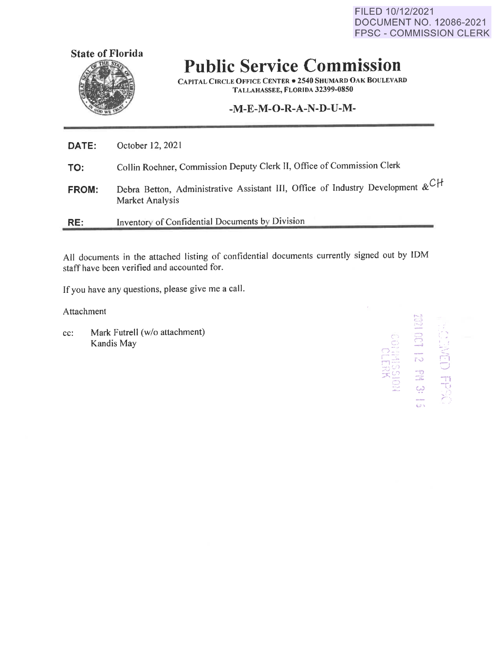FILED 10/12/2021 DOCUMENT NO. 12086-2021 FPSC - COMMISSION CLERK



## **Public Service Commission**

**CAPITAL CIRCLE OFFICE CENTER• 2540 SHUMARD OAK BOULEVARD TALLAHASSEE, FLORIDA 32399-0850** 

## **-M-E-M-O-R-A-N-D-U-M-**

| RE:   | Inventory of Confidential Documents by Division                                                                    |
|-------|--------------------------------------------------------------------------------------------------------------------|
| FROM: | Debra Betton, Administrative Assistant III, Office of Industry Development $\&^{C}\uparrow^{C}$<br>Market Analysis |
| TO:   | Collin Roehner, Commission Deputy Clerk II, Office of Commission Clerk                                             |
| DATE: | October 12, 2021                                                                                                   |

All documents in the attached listing of confidential documents currently signed out by IDM staff have been verified and accounted for.

If you have any questions, please give me a call.

Attachment

cc: Mark Futrell (w/o attachment) Kandis May

 $\sim$  $\tilde{\tilde{z}}$ CCT 12 PN 3: 13 -,- ,\_J *I*  ,·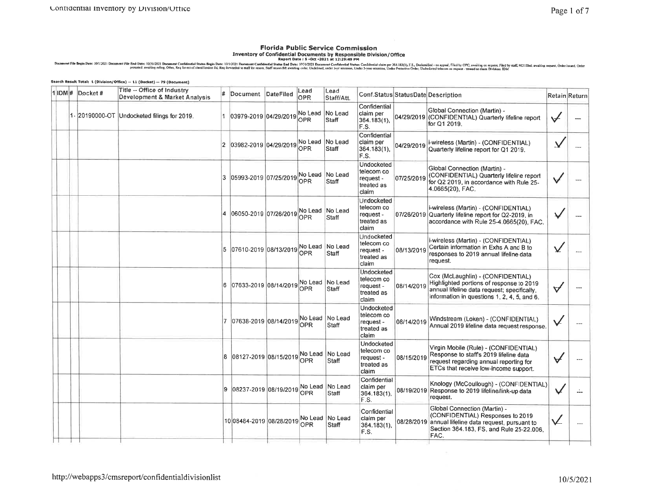Florida Public Service Commission<br>Inventory of Confidential Documents by Responsible Division/Office<br>protection in protect and the confidential State in Equal State of the State of Allied State of the Service of the Servic

|               | Search Result Total: 1 (Division/Office) -- 11 (Docket) -- 79 (Document) |     |                         |           |                       |                          |                                                                     |            |                                                                                                                                                                             |                         |               |
|---------------|--------------------------------------------------------------------------|-----|-------------------------|-----------|-----------------------|--------------------------|---------------------------------------------------------------------|------------|-----------------------------------------------------------------------------------------------------------------------------------------------------------------------------|-------------------------|---------------|
| 1IDM# Docket# | Title -- Office of Industry<br>Development & Market Analysis             | #   | Document                | DateFiled | Lead<br>OPR           | Lead<br>Staff/Att.       |                                                                     |            | Conf.Status StatusDate Description                                                                                                                                          |                         | Retain Return |
|               | 1 - 20190000-OT Undocketed filings for 2019.                             |     | 1 03979-2019 04/29/2019 |           | OPR                   | No Lead No Lead<br>Staff | Confidential<br>claim per<br>364.183(1),<br>F.S.                    | 04/29/2019 | Global Connection (Martin) -<br>(CONFIDENTIAL) Quarterly lifeline report<br>for Q1 2019.                                                                                    | ✓                       |               |
|               |                                                                          |     | 2 03982-2019 04/29/2019 |           | No Lead<br>OPR        | No Lead<br><b>Staff</b>  | Confidential<br>claim per<br>$364.183(1)$ ,<br>F.S.                 | 04/29/2019 | i-wireless (Martin) - (CONFIDENTIAL)<br>Quarterly lifeline report for Q1 2019.                                                                                              |                         |               |
|               |                                                                          | 13. | 05993-2019 07/25/2019   |           | No Lead<br>OPR        | No Lead<br>Staff         | Undocketed<br>telecom co<br>request -<br>treated as<br><b>claim</b> | 07/25/2019 | Global Connection (Martin) -<br>(CONFIDENTIAL) Quarterly lifeline report<br>for Q2 2019, in accordance with Rule 25-<br>4.0665(20), FAC.                                    | v                       |               |
|               |                                                                          |     | 06050-2019 07/26/2019   |           | OPR                   | No Lead No Lead<br>Staff | Undocketed<br>telecom co<br>request -<br>treated as<br>claim        |            | i-wireless (Martin) - (CONFIDENTIAL)<br>07/26/2019 Quarterly lifeline report for Q2-2019, in<br>accordance with Rule 25-4.0665(20), FAC.                                    |                         |               |
|               |                                                                          |     | 5 07610-2019 08/13/2019 |           | No Lead<br>OPR        | No Lead<br>Staff         | Undocketed<br>telecom co<br>request -<br>treated as<br>claim        | 08/13/2019 | i-wireless (Martin) - (CONFIDENTIAL)<br>Certain information in Exhs A and B to<br>responses to 2019 annual lifeline data<br>request.                                        | $\overline{\mathbf{Y}}$ |               |
|               |                                                                          |     | 6 07633-2019 08/14/2019 |           | No Lead<br>OPR        | No Lead<br>Staff         | Undocketed<br>telecom co<br>request -<br>treated as<br>claim        | 08/14/2019 | Cox (McLaughlin) - (CONFIDENTIAL)<br>Highlighted portions of response to 2019<br>annual lifeline data request; specifically,<br>information in questions 1, 2, 4, 5, and 6. | V                       |               |
|               |                                                                          | 17. | 07638-2019 08/14/2019   |           | No Lead<br>OPR        | No Lead<br>Staff         | Undocketed<br>telecom co<br>request -<br>treated as<br>claim        | 08/14/2019 | Windstream (Loken) - (CONFIDENTIAL)<br>Annual 2019 lifeline data request response.                                                                                          |                         |               |
|               |                                                                          |     | 08127-2019 08/15/2019   |           | No Lead<br><b>OPR</b> | No Lead<br>Staff         | Undocketed<br>telecom co<br>request -<br>treated as<br>claim        | 08/15/2019 | Virgin Mobile (Rule) - (CONFIDENTIAL)<br>Response to staff's 2019 lifeline data<br>request regarding annual reporting for<br>ETCs that receive low-income support.          | ∀                       |               |
|               |                                                                          | 9   | 08237-2019 08/19/2019   |           | No Lead<br>OPR        | No Lead<br>Staff         | Confidential<br>claim per<br>364.183(1),<br>F.S.                    | 08/19/2019 | Knology (McCoullough) - (CONFIDENTIAL)<br>Response to 2019 lifeline/link-up data<br>request.                                                                                | ν                       | 44            |
|               |                                                                          |     | 1008484-2019 08/28/2019 |           | No Lead<br>OPR        | No Lead<br>Staff         | Confidential<br>claim per<br>$364.183(1)$ ,<br>F.S.                 | 08/28/2019 | Global Connection (Martin) -<br>(CONFIDENTIAL) Responses to 2019<br>annual lifeline data request, pursuant to<br>Section 364.183, FS, and Rule 25-22.006.<br>FAC.           | V                       |               |
|               |                                                                          |     |                         |           |                       |                          |                                                                     |            |                                                                                                                                                                             |                         |               |

 $\sim$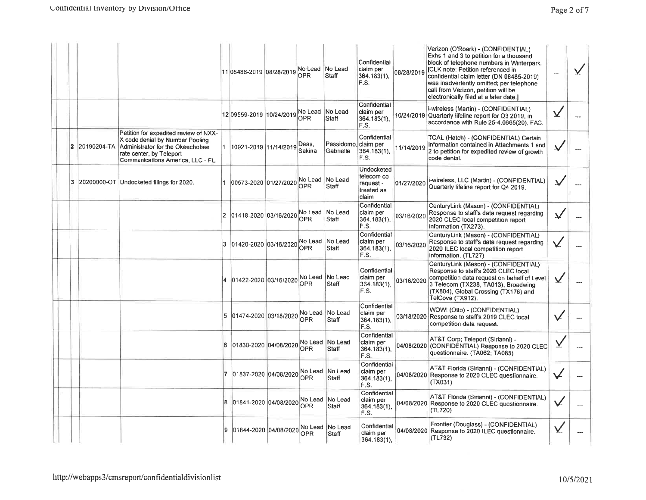|   |             |                                                                                                                                                                               |                | 11 08486-2019 08/28/2019 No Lead No Lead | OPR.            | Staff                      | Confidential<br>claim per<br>364.183(1),<br>F.S.             | 08/28/2019 | Verizon (O'Roark) - (CONFIDENTIAL)<br>Exhs 1 and 3 to petition for a thousand<br>block of telephone numbers in Winterpark.<br>[CLK note: Petition referenced in<br>confidential claim letter (DN 08485-2019)<br>was inadvertently omitted; per telephone<br>call from Verizon, petition will be<br>electronically filed at a later date.] | $\overline{\phantom{a}}$ | V |
|---|-------------|-------------------------------------------------------------------------------------------------------------------------------------------------------------------------------|----------------|------------------------------------------|-----------------|----------------------------|--------------------------------------------------------------|------------|-------------------------------------------------------------------------------------------------------------------------------------------------------------------------------------------------------------------------------------------------------------------------------------------------------------------------------------------|--------------------------|---|
|   |             |                                                                                                                                                                               |                | 12 09559-2019 10/24/2019 No Lead No Lead | <b>OPR</b>      | Staff                      | Confidential<br>claim per<br>364.183(1),<br>F.S.             |            | i-wireless (Martin) - (CONFIDENTIAL)<br>10/24/2019 Quarterly lifeline report for Q3 2019, in<br>accordance with Rule 25-4.0665(20), FAC.                                                                                                                                                                                                  | $\chi$                   |   |
| 2 | 20190204-TA | Petition for expedited review of NXX-<br>X code denial by Number Pooling<br>Administrator for the Okeechobee<br>rate center, by Teleport<br>Communications America, LLC - FL. |                | 1  10921-2019  11/14/2019                | Deas.<br>Sakina | Passidomo.<br>Gabriella    | Confidential<br>Iclaim per<br>364.183(1),<br>F.S.            | 11/14/2019 | TCAL (Hatch) - (CONFIDENTIAL) Certain<br>information contained in Attachments 1 and<br>2 to petition for expedited review of growth<br>code denial.                                                                                                                                                                                       |                          |   |
| 3 |             | 20200000-OT Undocketed filings for 2020.                                                                                                                                      |                | 00573-2020 01/27/2020                    | OPR             | No Lead No Lead<br>Staff   | Undocketed<br>telecom co<br>request -<br>treated as<br>claim | 01/27/2020 | i-wireless, LLC (Martin) - (CONFIDENTIAL)<br>Quarterly lifeline report for Q4 2019.                                                                                                                                                                                                                                                       | $\overline{\mathsf{v}}$  |   |
|   |             |                                                                                                                                                                               | $\overline{2}$ | 01418-2020 03/16/2020                    | <b>OPR</b>      | No Lead No Lead<br>Staff   | Confidential<br>claim per<br>364.183(1),<br>F.S.             | 03/16/2020 | CenturyLink (Mason) - (CONFIDENTIAL)<br>Response to staff's data request regarding<br>2020 CLEC local competition report<br>information (TX273).                                                                                                                                                                                          | V                        |   |
|   |             |                                                                                                                                                                               |                | 3 01420-2020 03/16/2020 No Lead No Lead  | OPR             | Staff                      | Confidential<br>claim per<br>$364.183(1)$ ,<br>F.S.          | 03/16/2020 | CenturyLink (Mason) - (CONFIDENTIAL)<br>Response to staff's data request regarding<br>2020 ILEC local competition report<br>information. (TL727)                                                                                                                                                                                          |                          |   |
|   |             |                                                                                                                                                                               |                | 01422-2020 03/16/2020                    | OPR.            | No Lead No Lead<br>Staff   | Confidential<br>claim per<br>364.183(1),<br>F.S.             | 03/16/2020 | CenturyLink (Mason) - (CONFIDENTIAL)<br>Response to staff's 2020 CLEC local<br>competition data request on behalf of Level<br>3 Telecom (TX238, TA013), Broadwing<br>(TX804), Global Crossing (TX176) and<br>TelCove (TX912).                                                                                                             | V                        |   |
|   |             |                                                                                                                                                                               |                | 5 01474-2020 03/18/2020                  | <b>OPR</b>      | No Lead   No Lead<br>Staff | Confidential<br>claim per<br>364.183(1),<br>F.S.             |            | WOW! (Otto) - (CONFIDENTIAL)<br>03/18/2020 Response to staff's 2019 CLEC local<br>competition data request.                                                                                                                                                                                                                               | V                        |   |
|   |             |                                                                                                                                                                               |                | 6 01830-2020 04/08/2020                  | No Lead<br>OPR  | No Lead<br><b>Staff</b>    | Confidential<br>claim per<br>364.183(1),<br>F.S.             | 04/08/2020 | AT&T Corp; Teleport (Sirianni) -<br>(CONFIDENTIAL) Response to 2020 CLEC<br>questionnaire. (TA062; TA085)                                                                                                                                                                                                                                 |                          |   |
|   |             |                                                                                                                                                                               |                | 7 01837-2020 04/08/2020                  | No Lead<br>OPR  | No Lead<br>Staff           | Confidential<br>claim per<br>$364.183(1)$ ,<br>F.S.          | 04/08/2020 | AT&T Florida (Sirianni) - (CONFIDENTIAL)<br>Response to 2020 CLEC questionnaire.<br>(TX031)                                                                                                                                                                                                                                               |                          |   |
|   |             |                                                                                                                                                                               |                | 8 01841-2020 04/08/2020                  | No Lead<br>OPR  | No Lead<br>Staff           | Confidential<br>claim per<br>364.183(1).<br>F.S.             |            | AT&T Florida (Sirianni) - (CONFIDENTIAL)<br>04/08/2020 Response to 2020 CLEC questionnaire.<br>(TL720)                                                                                                                                                                                                                                    | V                        |   |
|   |             |                                                                                                                                                                               |                | 01844-2020 04/08/2020                    | No Lead<br>OPR  | No Lead<br>Staff           | Confidential<br>Iclaim per<br> 364.183(1),                   |            | Frontier (Douglass) - (CONFIDENTIAL)<br>04/08/2020 Response to 2020 ILEC questionnaire.<br>(TL732)                                                                                                                                                                                                                                        | Y.                       |   |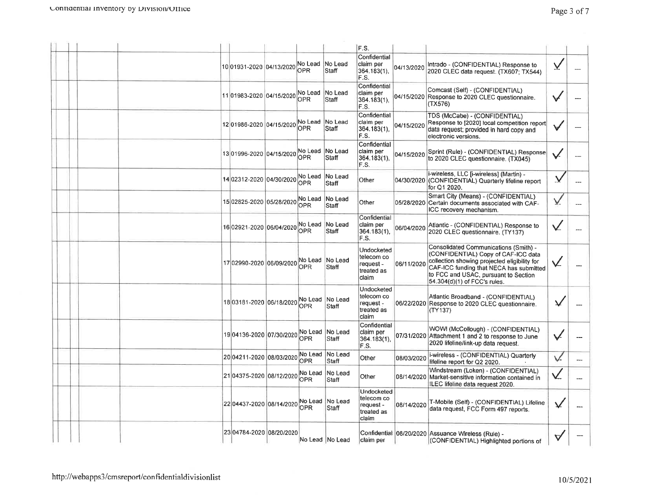|                                          |                         |                          | F.S.                                                         |            |                                                                                                                                                                                                                                                 |   |     |
|------------------------------------------|-------------------------|--------------------------|--------------------------------------------------------------|------------|-------------------------------------------------------------------------------------------------------------------------------------------------------------------------------------------------------------------------------------------------|---|-----|
| 10 01931-2020 04/13/2020 No Lead No Lead | OPR                     | Staff                    | Confidential<br>claim per<br>364.183(1),<br>F.S.             | 04/13/2020 | Intrado - (CONFIDENTIAL) Response to<br>2020 CLEC data request. (TX607; TX544)                                                                                                                                                                  | Y |     |
| 11 01983-2020 04/15/2020                 | No Lead<br>OPR          | No Lead<br>Staff         | Confidential<br>claim per<br>364.183(1),<br>F.S.             |            | Comcast (Self) - (CONFIDENTIAL)<br>04/15/2020 Response to 2020 CLEC questionnaire.<br>(TX576)                                                                                                                                                   |   |     |
| 12 01986-2020 04/15/2020 No Lead         |                         | No Lead<br>Staff         | Confidential<br>claim per<br>364.183(1),<br>F.S.             | 04/15/2020 | TDS (McCabe) - (CONFIDENTIAL)<br>Response to [2020] local competition report<br>data request; provided in hard copy and<br>electronic versions.                                                                                                 |   |     |
| 13 01996-2020 04/15/2020                 | No Lead No Lead<br>OPR. | Staff                    | Confidential<br>claim per<br>364.183(1),<br>F.S.             | 04/15/2020 | Sprint (Rule) - (CONFIDENTIAL) Response<br>to 2020 CLEC questionnaire. (TX045)                                                                                                                                                                  |   |     |
| 14 02312-2020 04/30/2020                 | No Lead<br>OPR.         | No Lead<br><b>Staff</b>  | Other                                                        |            | i-wireless, LLC [i-wireless] (Martin) -<br>04/30/2020 (CONFIDENTIAL) Quarterly lifeline report<br>for Q1 2020.                                                                                                                                  |   |     |
| 15 02825-2020 05/28/2020                 | No Lead<br>OPR.         | <b>No Lead</b><br>Staff  | Other                                                        | 05/28/2020 | Smart City (Means) - (CONFIDENTIAL)<br>Certain documents associated with CAF-<br>ICC recovery mechanism.                                                                                                                                        |   |     |
| 16 02921-2020 06/04/2020                 | No Lead<br><b>OPR</b>   | No Lead<br>Staff         | Confidential<br>claim per<br>364.183(1).<br>F.S.             | 06/04/2020 | Atlantic - (CONFIDENTIAL) Response to<br>2020 CLEC questionnaire. (TY137)                                                                                                                                                                       |   | --- |
| 1702990-2020 06/09/2020 NULL             |                         | No Lead No Lead<br>Staff | Undocketed<br>telecom co<br>request -<br>treated as<br>claim | 06/11/2020 | Consolidated Communications (Smith) -<br>(CONFIDENTIAL) Copy of CAF-ICC data<br>collection showing projected eligibility for<br>CAF-ICC funding that NECA has submitted<br>to FCC and USAC, pursuant to Section<br>54.304(d)(1) of FCC's rules. |   |     |
| 18 03181-2020 06/18/2020 No Lead         |                         | No Lead<br>Staff         | Undocketed<br>telecom co<br>request -<br>treated as<br>claim |            | Atlantic Broadband - (CONFIDENTIAL)<br>06/22/2020 Response to 2020 CLEC questionnaire.<br>(TY137)                                                                                                                                               |   |     |
| 19 04136-2020 07/30/2020 No Lead         | OPR                     | No Lead<br>Staff         | Confidential<br>claim per<br>$364.183(1)$ ,<br>F.S.          |            | WOW! (McCollough) - (CONFIDENTIAL)<br>07/31/2020 Attachment 1 and 2 to response to June<br>2020 lifeline/link-up data request.                                                                                                                  |   |     |
| 20 04211-2020 08/03/2020                 | No Lead<br>OPR          | No Lead<br>Staff         | Other                                                        | 08/03/2020 | i-wireless - (CONFIDENTIAL) Quarterly<br>lifeline report for Q2 2020.                                                                                                                                                                           |   |     |
| 21 04375-2020 08/12/2020                 | No Lead<br>OPR          | No Lead<br><b>Staff</b>  | Other                                                        |            | Windstream (Loken) - (CONFIDENTIAL)<br>08/14/2020 Market-sensitive information contained in<br>ILEC lifeline data request 2020.                                                                                                                 |   |     |
| 22 04437-2020 08/14/2020                 | <b>OPR</b>              | No Lead No Lead<br>Staff | Undocketed<br>telecom co<br>reguest -<br>treated as<br>claim | 08/14/2020 | T-Mobile (Self) - (CONFIDENTIAL) Lifeline<br>data request, FCC Form 497 reports.                                                                                                                                                                |   | --- |
| 23 04784-2020 08/20/2020                 |                         | No Lead No Lead          | claim per                                                    |            | Confidential   08/20/2020   Assuance Wireless (Rule) -<br>(CONFIDENTIAL) Highlighted portions of                                                                                                                                                |   |     |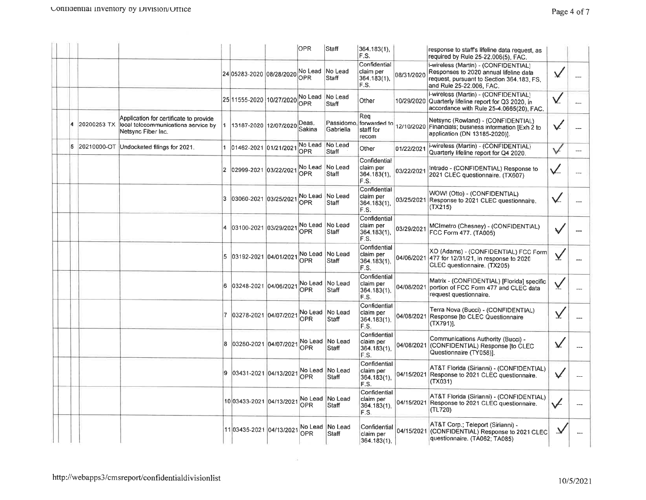|    |             |                                                                                                     |     |                          | <b>OPR</b>            | Staff                           | 364.183(1),<br>F.S.                              |            | response to staff's lifeline data request, as<br>required by Rule 25-22.006(5), FAC.                                                                    |    |  |
|----|-------------|-----------------------------------------------------------------------------------------------------|-----|--------------------------|-----------------------|---------------------------------|--------------------------------------------------|------------|---------------------------------------------------------------------------------------------------------------------------------------------------------|----|--|
|    |             |                                                                                                     |     | 24 05283-2020 08/28/2020 | No Lead<br><b>OPR</b> | No Lead<br>Staff                | Confidential<br>claim per<br>364.183(1),<br>F.S. | 08/31/2020 | i-wireless (Martin) - (CONFIDENTIAL)<br>Responses to 2020 annual lifeline data<br>request, pursuant to Section 364.183, FS,<br>and Rule 25-22.006, FAC. | x  |  |
|    |             |                                                                                                     |     | 25 11555-2020 10/27/2020 | No Lead<br>OPR        | No Lead<br>Staff                | Other                                            |            | i-wireless (Martin) - (CONFIDENTIAL)<br>10/29/2020 Quarterly lifeline report for Q3 2020, in<br>accordance with Rule 25-4.0665(20), FAC.                | V  |  |
|    | 20200253-TX | Application for certificate to provide<br>local telecommunications service by<br>Netsync Fiber Inc. |     | 13187-2020 12/07/2020    | Deas.<br>Sakina       | Passidomo,<br>Gabriella         | Rea<br>forwarded to<br>staff for<br>recom        |            | Netsync (Rowland) - (CONFIDENTIAL)<br>12/10/2020 Financials; business information [Exh 2 to<br>application (DN 13185-2020)].                            |    |  |
| 5. |             | 20210000-OT Undocketed filings for 2021.                                                            |     | 1 01462-2021 01/21/202   | No Lead<br>OPR        | No Lead<br>Staff                | Other                                            | 01/22/202  | i-wireless (Martin) - (CONFIDENTIAL)<br>Quarterly lifeline report for Q4 2020.                                                                          |    |  |
|    |             |                                                                                                     |     | 02999-2021 03/22/202     | No Lead<br><b>OPR</b> | No Lead<br>Staff                | Confidential<br>claim per<br>364.183(1),<br>F.S. | 03/22/2021 | Intrado - (CONFIDENTIAL) Response to<br>2021 CLEC questionnaire. (TX607)                                                                                |    |  |
|    |             |                                                                                                     | 3   | 03060-2021 03/25/2021    | No Lead<br><b>OPR</b> | No Lead<br><b>Staff</b>         | Confidential<br>claim per<br>364.183(1).<br>F.S. |            | WOW! (Otto) - (CONFIDENTIAL)<br>03/25/2021 Response to 2021 CLEC questionnaire.<br>(TX215)                                                              |    |  |
|    |             |                                                                                                     |     | 03100-2021 03/29/2021    | <b>OPR</b>            | No Lead No Lead<br><b>Staff</b> | Confidential<br>claim per<br>364.183(1),<br>F.S. | 03/29/2021 | MCImetro (Chesney) - (CONFIDENTIAL)<br>FCC Form 477. (TA005)                                                                                            | ¥  |  |
|    |             |                                                                                                     |     | 5 03192-2021 04/01/2021  | OPR                   | No Lead No Lead<br>Staff        | Confidential<br>claim per<br>364.183(1).<br>F.S. |            | XO (Adams) - (CONFIDENTIAL) FCC Form<br>04/06/2021 477 for 12/31/21, in response to 2020<br>CLEC questionnaire. (TX205)                                 |    |  |
|    |             |                                                                                                     |     | 6 03248-2021 04/06/2021  | OPR                   | No Lead No Lead<br>Staff        | Confidential<br>claim per<br>364.183(1),<br>F.S. | 04/08/2021 | Matrix - (CONFIDENTIAL) [Florida] specific<br>portion of FCC Form 477 and CLEC data<br>request questionnaire.                                           | Ý. |  |
|    |             |                                                                                                     |     | 7 03278-2021 04/07/2021  | OPR.                  | No Lead No Lead<br>Staff        | Confidential<br>claim per<br>364.183(1),<br>F.S. |            | Terra Nova (Bucci) - (CONFIDENTIAL)<br>04/08/2021 Response [to CLEC Questionnaire<br>$(TX791)$ ].                                                       | Y  |  |
|    |             |                                                                                                     | 8   | 03280-2021 04/07/2021    | <b>OPR</b>            | No Lead No Lead<br>Staff        | Confidential<br>claim per<br>364.183(1),<br>F.S. |            | Communications Authority (Bucci) -<br>04/08/2021 (CONFIDENTIAL) Response [to CLEC<br>Questionnaire (TY058)].                                            | V  |  |
|    |             |                                                                                                     | 19. | 03431-2021 04/13/2021    | <b>OPR</b>            | No Lead No Lead<br>lStaff       | Confidential<br>claim per<br>364.183(1),<br>F.S. |            | AT&T Florida (Sirianni) - (CONFIDENTIAL)<br>04/15/2021 Response to 2021 CLEC questionnaire.<br>(TX031)                                                  |    |  |
|    |             |                                                                                                     |     | 1003433-2021 04/13/2021  | IOPR.                 | No Lead No Lead<br>Staff        | Confidential<br>claim per<br>364.183(1),<br>F.S. |            | AT&T Florida (Sirianni) - (CONFIDENTIAL)<br>04/15/2021 Response to 2021 CLEC questionnaire.<br>(TL720)                                                  |    |  |
|    |             |                                                                                                     |     | 11 03435-2021 04/13/2021 | <b>OPR</b>            | No Lead   No Lead<br>Staff      | Confidential<br>claim per<br>$364.183(1)$ ,      |            | AT&T Corp.; Teleport (Sirianni) -<br>04/15/2021 (CONFIDENTIAL) Response to 2021 CLEC<br>questionnaire. (TA062; TA085)                                   |    |  |

 $\zeta$  is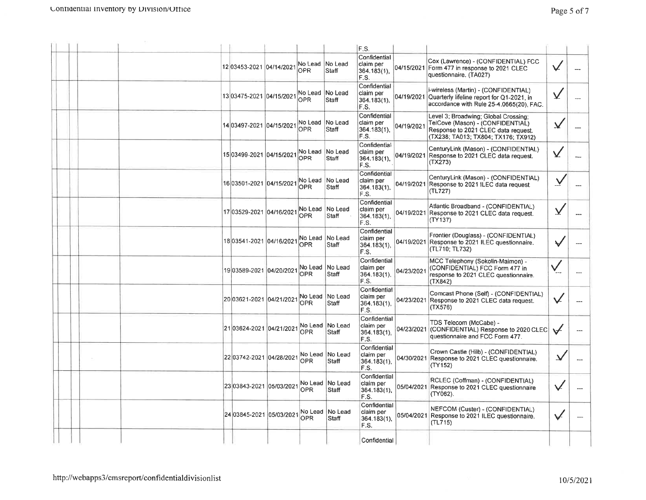|  |                          |                                    |                             | F.S.                                                |            |                                                                                                                                                        |                         |                |
|--|--------------------------|------------------------------------|-----------------------------|-----------------------------------------------------|------------|--------------------------------------------------------------------------------------------------------------------------------------------------------|-------------------------|----------------|
|  | 12 03453-2021 04/14/2021 | No Lead No Lead<br>OPR <sub></sub> | Staff                       | Confidential<br>claim per<br> 364.183(1),<br>F.S.   |            | Cox (Lawrence) - (CONFIDENTIAL) FCC<br>04/15/2021 Form 477 in response to 2021 CLEC<br>questionnaire. (TA027)                                          |                         |                |
|  | 13 03475-2021 04/15/2021 | No Lead No Lead<br>OPR.            | Staff                       | Confidential<br>claim per<br>364.183(1),<br>IF.S.   |            | i-wireless (Martin) - (CONFIDENTIAL)<br>04/19/2021 Quarterly lifeline report for Q1-2021, in<br>accordance with Rule 25-4.0665(20). FAC.               | V                       |                |
|  | 14 03497-2021 04/15/2021 | No Lead<br><b>OPR</b>              | No Lead<br>Staff            | Confidential<br>claim per<br>364.183(1)<br>F.S.     | 04/19/2021 | Level 3; Broadwing; Global Crossing;<br>TelCove (Mason) - (CONFIDENTIAL)<br>Response to 2021 CLEC data request.<br>(TX238; TA013; TX804; TX176; TX912) | V                       |                |
|  | 15 03499-2021 04/15/2021 | No Lead No Lead<br>OPR             | Staff                       | Confidential<br>claim per<br>364.183(1),<br>F.S.    | 04/19/2021 | CenturyLink (Mason) - (CONFIDENTIAL)<br>Response to 2021 CLEC data request.<br>(TX273)                                                                 | V                       |                |
|  | 16 03501-2021 04/15/2021 | <b>OPR</b>                         | No Lead No Lead<br>Staff    | Confidential<br>claim per<br>364.183(1),<br>F.S.    |            | CenturyLink (Mason) - (CONFIDENTIAL)<br>04/19/2021 Response to 2021 ILEC data request.<br>(TL727)                                                      |                         |                |
|  | 17 03529-2021 04/16/2021 | No Lead<br>OPR                     | No Lead<br>Staff            | Confidential<br>claim per<br>364.183(1),<br>F.S.    |            | Atlantic Broadband - (CONFIDENTIAL)<br>04/19/2021 Response to 2021 CLEC data request.<br>(TY137)                                                       | $\overline{\mathsf{X}}$ |                |
|  | 1803541-2021 04/16/2021  | No Lead<br><b>OPR</b>              | No Lead<br>Staff            | Confidential<br>claim per<br>$364.183(1)$ ,<br>F.S. |            | Frontier (Douglass) - (CONFIDENTIAL)<br>04/19/2021 Response to 2021 ILEC questionnaire.<br>(TL710; TL732)                                              |                         |                |
|  | 1903589-2021 04/20/2021  | OPR                                | No Lead   No Lead<br>Staff  | Confidential<br>claim per<br>$364.183(1)$ ,<br>F.S. | 04/23/2021 | MCC Telephony (Sokolin-Maimon) -<br>(CONFIDENTIAL) FCC Form 477 in<br>response to 2021 CLEC questionnaire.<br>(TX842)                                  |                         |                |
|  | 2003621-2021 04/21/2021  | <b>OPR</b>                         | No Lead No Lead<br>Staff    | Confidential<br>claim per<br> 364.183(1),<br>F.S.   | 04/23/2021 | Comcast Phone (Self) - (CONFIDENTIAL)<br>Response to 2021 CLEC data request.<br>(TX576)                                                                |                         |                |
|  | 21 03624-2021 04/21/2021 | OPR.                               | No Lead No Lead<br>Staff    | Confidential<br>claim per<br>364.183(1),<br>F.S.    | 04/23/2021 | TDS Telecom (McCabe) -<br>(CONFIDENTIAL) Response to 2020 CLEC<br>questionnaire and FCC Form 477.                                                      |                         | $\overline{a}$ |
|  | 22 03742-2021 04/28/2021 | OPR.                               | No Lead No Lead<br>Staff    | Confidential<br>claim per<br> 364.183(1),<br>F.S.   |            | Crown Castle (Hilb) - (CONFIDENTIAL)<br>04/30/2021 Response to 2021 CLEC questionnaire.<br>(TY152)                                                     |                         |                |
|  | 23 03843-2021 05/03/2021 | 0PR                                | No Lead   No Lead<br>lStaff | Confidential<br>claim per<br>364.183(1),<br>F.S.    |            | RCLEC (Coffman) - (CONFIDENTIAL)<br>05/04/2021 Response to 2021 CLEC questionnaire<br>(TY062).                                                         | V                       |                |
|  | 24 03845-2021 05/03/2021 | OPR                                | No Lead  No Lead<br>Staff   | Confidential<br>claim per<br>364.183(1),<br>F.S.    |            | NEFCOM (Custer) - (CONFIDENTIAL)<br>05/04/2021 Response to 2021 ILEC questionnaire.<br>(TL715)                                                         | V                       | ---            |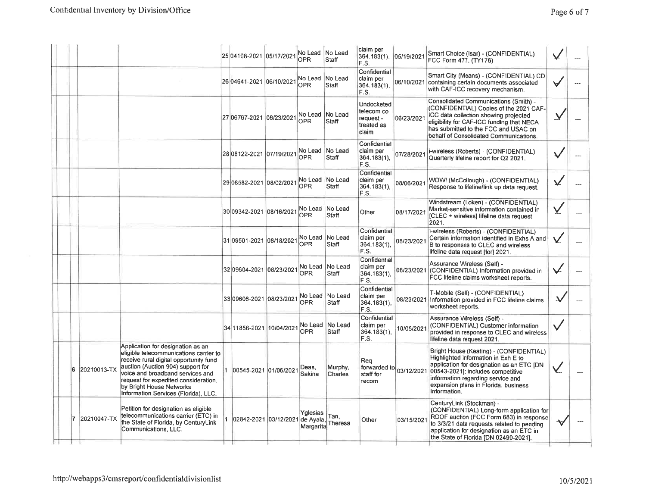| Page 6 of |  |  |
|-----------|--|--|
|-----------|--|--|

|                    |                                                                                                                                                                                                                                                                                                            | 25 04108-2021 05/17/2021        | No Lead No Lead<br><b>OPR</b> | Staff                    | claim per<br>364.183(1),<br>F.S.                             | 05/19/2021 | Smart Choice (Isar) - (CONFIDENTIAL)<br>FCC Form 477. (TY176)                                                                                                                                                                                                 |     |     |
|--------------------|------------------------------------------------------------------------------------------------------------------------------------------------------------------------------------------------------------------------------------------------------------------------------------------------------------|---------------------------------|-------------------------------|--------------------------|--------------------------------------------------------------|------------|---------------------------------------------------------------------------------------------------------------------------------------------------------------------------------------------------------------------------------------------------------------|-----|-----|
|                    |                                                                                                                                                                                                                                                                                                            | 26 04641-2021 06/10/2021        | No Lead<br><b>OPR</b>         | No Lead<br>Staff         | Confidential<br>claim per<br>364.183(1),<br>F.S.             |            | Smart City (Means) - (CONFIDENTIAL) CD<br>06/10/2021 containing certain documents associated<br>with CAF-ICC recovery mechanism.                                                                                                                              |     | --- |
|                    |                                                                                                                                                                                                                                                                                                            | 27 06767-2021 06/23/2021        | No Lead No Lead<br>OPR        | <b>Staff</b>             | Undocketed<br>telecom co<br>request -<br>treated as<br>claim | 06/23/2021 | Consolidated Communications (Smith) -<br>(CONFIDENTIAL) Copies of the 2021 CAF-<br>ICC data collection showing projected<br>eligibility for CAF-ICC funding that NECA<br>has submitted to the FCC and USAC on<br>behalf of Consolidated Communications.       |     |     |
|                    |                                                                                                                                                                                                                                                                                                            | 28 08122-2021 07/19/2021        | No Lead No Lead<br><b>OPR</b> | Staff                    | Confidential<br>claim per<br>364.183(1),<br>F.S.             | 07/28/2021 | i-wireless (Roberts) - (CONFIDENTIAL)<br>Quarterly lifeline report for Q2 2021.                                                                                                                                                                               |     |     |
|                    |                                                                                                                                                                                                                                                                                                            | 2908582-2021 08/02/2021         | No Lead No Lead<br>OPR        | <b>Staff</b>             | Confidential<br>claim per<br>$364.183(1)$ ,<br>F.S.          | 08/06/2021 | WOW! (McCollough) - (CONFIDENTIAL)<br>Response to lifeline/link up data request.                                                                                                                                                                              |     |     |
|                    |                                                                                                                                                                                                                                                                                                            | 30 09342-2021 08/16/2021        | No Lead<br>OPR                | No Lead<br>Staff         | Other                                                        | 08/17/2021 | Windstream (Loken) - (CONFIDENTIAL)<br>Market-sensitive information contained in<br>[CLEC + wireless] lifeline data request<br>2021.                                                                                                                          | Ā,  |     |
|                    |                                                                                                                                                                                                                                                                                                            | 31 09501-2021 08/18/2021        | <b>OPR</b>                    | No Lead No Lead<br>Staff | Confidential<br>claim per<br>364.183(1),<br>F.S.             | 08/23/2021 | i-wireless (Roberts) - (CONFIDENTIAL)<br>Certain information identified in Exhs A and<br>B to responses to CLEC and wireless<br>lifeline data request [for] 2021.                                                                                             | V.  |     |
|                    |                                                                                                                                                                                                                                                                                                            | 32 09604-2021 08/23/2021        | OPR                           | No Lead No Lead<br>Staff | Confidential<br>claim per<br>$364.183(1)$ ,<br>F.S.          |            | Assurance Wireless (Self) -<br>08/23/2021 (CONFIDENTIAL) Information provided in<br>FCC lifeline claims worksheet reports.                                                                                                                                    | ✓   |     |
|                    |                                                                                                                                                                                                                                                                                                            | 33 09606-2021 08/23/2021        | No Lead<br><b>OPR</b>         | No Lead<br>Staff         | Confidential<br>claim per<br>364.183(1),<br>F.S.             | 08/23/2021 | T-Mobile (Self) - (CONFIDENTIAL)<br>Information provided in FCC lifeline claims<br>worksheet reports.                                                                                                                                                         | ىد. |     |
|                    |                                                                                                                                                                                                                                                                                                            | 34 11856-2021 10/04/2021        | <b>OPR</b>                    | No Lead No Lead<br>Staff | Confidential<br>claim per<br>364.183(1),<br>F.S.             | 10/05/2021 | Assurance Wireless (Self) -<br>(CONFIDENTIAL) Customer information<br>provided in response to CLEC and wireless<br>lifeline data request 2021.                                                                                                                |     |     |
| 6<br>20210013-TX   | Application for designation as an<br>eligible telecommunications carrier to<br>receive rural digital opportunity fund<br>auction (Auction 904) support for<br>voice and broadband services and<br>request for expedited consideration.<br>by Bright House Networks<br>Information Services (Florida), LLC. | 00545-2021 01/06/2021           | Deas,<br>Sakina               | Murphy,<br>Charles       | Rea<br>forwarded to $ 03/12/2021 $<br>staff for<br>recom     |            | Bright House (Keating) - (CONFIDENTIAL)<br>Highlighted information in Exh E to<br>application for designation as an ETC [DN<br>00543-2021]; includes competitive<br>information regarding service and<br>expansion plans in Florida, business<br>information. |     |     |
| 20210047-TX<br>17. | Petition for designation as eligible<br>telecommunications carrier (ETC) in<br>the State of Florida, by CenturyLink<br>Communications, LLC.                                                                                                                                                                | 02842-2021 03/12/2021 de Ayala, | Yglesias<br>Margarita         | Tan,<br>Theresa          | Other                                                        | 03/15/2021 | CenturyLink (Stockman) -<br>(CONFIDENTIAL) Long-form application for<br>RDOF auction (FCC Form 683) in response<br>to 3/3/21 data requests related to pending<br>application for designation as an ETC in<br>the State of Florida [DN 02490-2021].            |     |     |